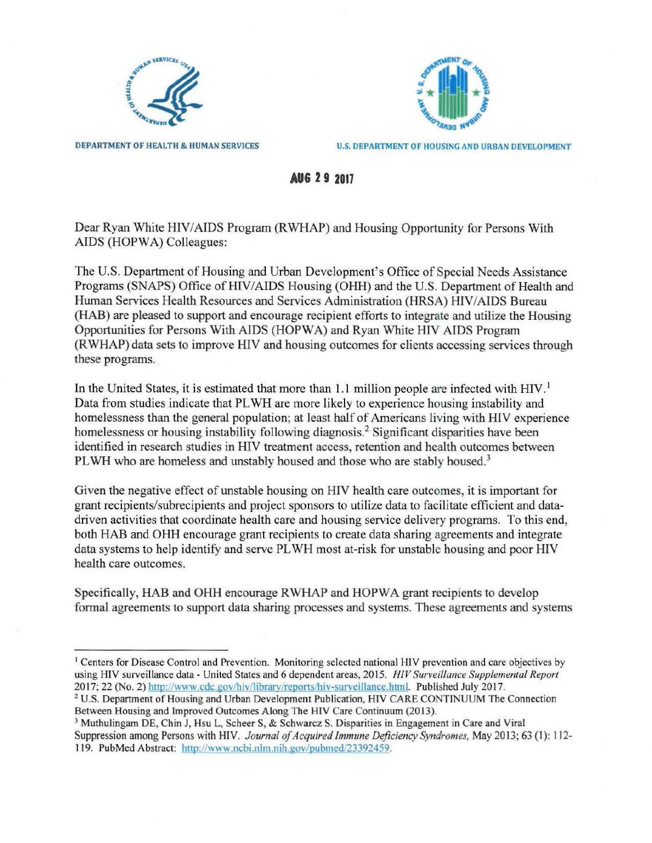



DEPARTMENT OF HEALTH & HUMAN SERVICES U.S. DEPARTMENT OF HOUSING AND URBAN DEVELOPMENT

**AUG 2 9 2017** 

Dear Ryan White HIV/AIDS Program (RWHAP) and Housing Opportunity for Persons With AIDS (HOPWA) Colleagues:

The U.S. Department of Housing and Urban Development's Office of Special Needs Assistance Programs (SNAPS) Office of HIV/AIDS Housing (OHH) and the U.S. Department of Health and Human Services Health Resources and Services Administration (HRSA) HIV/AIDS Bureau (RAB) are pleased to support and encourage recipient efforts to integrate and utilize the Housing Opportunities for Persons With AIDS (HOPW A) and Ryan White HIV AIDS Program (RWHAP) data sets to improve HIV and housing outcomes for clients accessing services through these programs.

In the United States, it is estimated that more than 1.1 million people are infected with HIV.<sup>1</sup> Data from studies indicate that PLWH are more likely to experience housing instability and homelessness than the general population; at least half of Americans living with HIV experience homelessness or housing instability following diagnosis.<sup>2</sup> Significant disparities have been identified in research studies in HIV treatment access, retention and health outcomes between PLWH who are homeless and unstably housed and those who are stably housed.<sup>3</sup>

Given the negative effect of unstable housing on HIV health care outcomes, it is important for grant recipients/subrecipients and project sponsors to utilize data to facilitate efficient and datadriven activities that coordinate health care and housing service delivery programs. To this end, both HAB and OHH encourage grant recipients to create data sharing agreements and integrate data systems to help identify and serve PL WH most at-risk for unstable housing and poor HIV health care outcomes.

Specifically, HAB and OHH encourage RWHAP and HOPWA grant recipients to develop formal agreements to support data sharing processes and systems. These agreements and systems

3 Muthulingam DE, Chin J, Hsu L, Scheer S, & Schwarcz S. Disparities in Engagement in Care and Viral Suppression among Persons with HIV. *Journal of Acquired Immune Deficiency Syndromes*, May 2013; 63 (1): 112-119. PubMed Abstract: http://www.ncbi.nlm.nih.gov/pubmed/23392459.

<sup>&</sup>lt;sup>1</sup> Centers for Disease Control and Prevention. Monitoring selected national HIV prevention and care objectives by using HIV surveillance data - United States and 6 dependent areas, 2015. *HIV Surveillance Supplemental Report*  2017; 22 (No. 2) http://www.cdc.gov/hiv/library/reports/hiv-surveillance.html. Published July 2017.<br><sup>2</sup> U.S. Department [of](http://www.cdc.gov/hiv/library/reports/hiv-surveillance.html) Housing and Urban Development Publication, HIV CARE CONTINUUM The Connection

Between Housing and Improved Outcomes Along The HIV Care Continuum (2013).